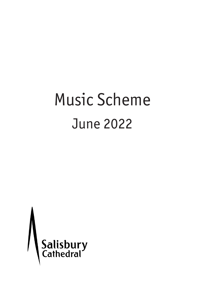# Music Scheme June 2022

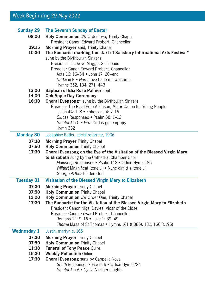# Week Beginning 29 May 2022

| <b>Sunday 29</b><br>08:00<br>09:15<br>10:30 | <b>The Seventh Sunday of Easter</b><br>Holy Communion CW Order Two, Trinity Chapel<br>President Canon Edward Probert, Chancellor<br>Morning Prayer said, Trinity Chapel<br>The Eucharist marking the start of Salisbury International Arts Festival*<br>sung by the Blythburgh Singers<br>President The Revd Maggie Guillebaud<br>Preacher Canon Edward Probert, Chancellor<br>Acts 16: 16-34 • John 17: 20-end<br>Darke in E . Hurd Love bade me welcome<br>Hymns 352, 134, 271, 443 |
|---------------------------------------------|---------------------------------------------------------------------------------------------------------------------------------------------------------------------------------------------------------------------------------------------------------------------------------------------------------------------------------------------------------------------------------------------------------------------------------------------------------------------------------------|
| 13:00<br>14:00                              | <b>Baptism of Elsi Rose Palmer Font</b><br><b>Oak Apple Day Ceremony</b>                                                                                                                                                                                                                                                                                                                                                                                                              |
| 16:30                                       | <b>Choral Evensong*</b> sung by the Blythburgh Singers<br>Preacher The Revd Pete Atkinson, Minor Canon for Young People<br>Isaiah 44: $1-8$ • Ephesians 4: 7-16<br>Clucas Responses . Psalm 68: 1-12<br>Stanford in $C \bullet$ Finzi God is gone up 195<br>Hymn 332                                                                                                                                                                                                                  |
| <b>Monday 30</b>                            | Josephine Butler, social reformer, 1906                                                                                                                                                                                                                                                                                                                                                                                                                                               |
| 07:30<br>07:50<br>17:30                     | <b>Morning Prayer Trinity Chapel</b><br><b>Holy Communion Trinity Chapel</b><br>Choral Evensong on the Eve of the Visitation of the Blessed Virgin Mary<br>to Elizabeth sung by the Cathedral Chamber Choir<br>Plainsong Responses . Psalm 148 . Office Hymn 186<br>Willært Magnificat (tone vi) . Nunc dimittis (tone vi)<br>George Arthur Hidden God                                                                                                                                |
| <b>Tuesday 31</b>                           | Visitation of the Blessed Virgin Mary to Elizabeth                                                                                                                                                                                                                                                                                                                                                                                                                                    |
| 07:30                                       | <b>Morning Prayer Trinity Chapel</b>                                                                                                                                                                                                                                                                                                                                                                                                                                                  |
| 07:50<br>12:00                              | <b>Holy Communion Trinity Chapel</b><br>Holy Communion CW Order One, Trinity Chapel                                                                                                                                                                                                                                                                                                                                                                                                   |
| 17:30                                       | The Eucharist for the Visitation of the Blessed Virgin Mary to Elizabeth<br>President Canon Nigel Davies, Vicar of the Close<br>Preacher Canon Edward Probert, Chancellor<br>Romans 12: 9-16 . Luke 1: 39-49<br>Thorne Mass of St Thomas . Hymns 161 (t.385), 182, 166 (t.195)                                                                                                                                                                                                        |
| <b>Wednesday 1</b>                          | Justin, martyr, c. 165                                                                                                                                                                                                                                                                                                                                                                                                                                                                |
| 07:30<br>07:50<br>11:30<br>15:30<br>17:30   | <b>Morning Prayer Trinity Chapel</b><br><b>Holy Communion Trinity Chapel</b><br><b>Funeral of Tony Peace Quire</b><br><b>Weekly Reflection Online</b><br>Choral Evensong sung by Cappella Nova<br>Smith Responses . Psalm 6 . Office Hymn 224<br>Stanford in A · Gjeilo Northern Lights                                                                                                                                                                                               |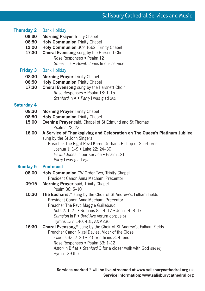| <b>Thursday 2</b> | <b>Bank Holiday</b>                                                               |
|-------------------|-----------------------------------------------------------------------------------|
| 08:30             | <b>Morning Prayer Trinity Chapel</b>                                              |
| 08:50             | <b>Holy Communion Trinity Chapel</b>                                              |
| 12:00             | Holy Communion BCP 1662, Trinity Chapel                                           |
| 17:30             | Choral Evensong sung by the Harsnett Choir                                        |
|                   | Rose Responses . Psalm 12                                                         |
|                   | Smart in F • Hewitt Jones In our service                                          |
| <b>Friday 3</b>   | <b>Bank Holiday</b>                                                               |
| 08:30             | <b>Morning Prayer Trinity Chapel</b>                                              |
| 08:50             | <b>Holy Communion Trinity Chapel</b>                                              |
| 17:30             | Choral Evensong sung by the Harsnett Choir                                        |
|                   | Rose Responses . Psalm 18: 1-15                                                   |
|                   | Stanford in A · Parry I was glad 252                                              |
| <b>Saturday 4</b> |                                                                                   |
| 08:30             | <b>Morning Prayer Trinity Chapel</b>                                              |
| 08:50             | <b>Holy Communion Trinity Chapel</b>                                              |
| 15:00             | Evening Prayer said, Chapel of St Edmund and St Thomas<br>Psalms 22, 23           |
| 16:00             | A Service of Thanksgiving and Celebration on The Queen's Platinum Jubilee         |
|                   | sung by the St John Singers                                                       |
|                   | Preacher The Right Revd Karen Gorham, Bishop of Sherborne                         |
|                   | Joshua 1: 1-9 . Luke 22: 24-30                                                    |
|                   | Hewitt Jones In our service • Psalm 121                                           |
|                   | Parry I was glad 252                                                              |
| <b>Sunday 5</b>   | <b>Pentecost</b>                                                                  |
| 08:00             | Holy Communion CW Order Two, Trinity Chapel                                       |
|                   | President Canon Anna Macham, Precentor                                            |
| 09:15             | Morning Prayer said, Trinity Chapel                                               |
|                   | Psalm 36: 5-10                                                                    |
| 10:30             | The Eucharist* sung by the Choir of St Andrew's, Fulham Fields                    |
|                   | President Canon Anna Macham, Precentor                                            |
|                   | Preacher The Revd Maggie Guillebaud                                               |
|                   |                                                                                   |
|                   | Acts 2: 1-21 . Romans 8: 14-17 . John 14: 8-17                                    |
|                   | Sumsion in F . Byrd Ave verum corpus 62                                           |
|                   | Hymns 137, 140, 431, A&M236                                                       |
| 16:30             | Choral Evensong* sung by the Choir of St Andrew's, Fulham Fields                  |
|                   | Preacher Canon Nigel Davies, Vicar of the Close                                   |
|                   | Exodus 33: 7-20 • 2 Corinthians 3: 4-end                                          |
|                   | Rose Responses . Psalm 33: 1-12                                                   |
|                   | Aston in B flat • Stanford O for a closer walk with God 486 (6)<br>Hymn 139 (t.i) |

**Services marked \* will be live-streamed at www.salisburycathedral.org.uk Service Information: www.salisburycathedral.org**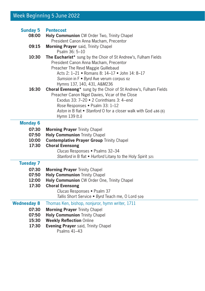# Week Beginning 5 June 2022

| <b>Sunday 5</b><br>08:00 | <b>Pentecost</b><br>Holy Communion CW Order Two, Trinity Chapel                                                                                                                                                                                                                         |
|--------------------------|-----------------------------------------------------------------------------------------------------------------------------------------------------------------------------------------------------------------------------------------------------------------------------------------|
| 09:15                    | President Canon Anna Macham, Precentor<br>Morning Prayer said, Trinity Chapel                                                                                                                                                                                                           |
|                          | Psalm 36: 5-10                                                                                                                                                                                                                                                                          |
| 10:30                    | The Eucharist* sung by the Choir of St Andrew's, Fulham Fields<br>President Canon Anna Macham, Precentor<br>Preacher The Revd Maggie Guillebaud<br>Acts 2: 1-21 • Romans 8: 14-17 • John 14: 8-17<br>Sumsion in F . Byrd Ave verum corpus 62<br>Hymns 137, 140, 431, A&M236             |
| 16:30                    | Choral Evensong* sung by the Choir of St Andrew's, Fulham Fields<br>Preacher Canon Nigel Davies, Vicar of the Close<br>Exodus 33: 7-20 . 2 Corinthians 3: 4-end<br>Rose Responses . Psalm 33: 1-12<br>Aston in B flat . Stanford O for a closer walk with God 486 (6)<br>Hymn 139 (t.i) |
| <b>Monday 6</b>          |                                                                                                                                                                                                                                                                                         |
| 07:30                    | <b>Morning Prayer Trinity Chapel</b>                                                                                                                                                                                                                                                    |
| 07:50                    | <b>Holy Communion Trinity Chapel</b>                                                                                                                                                                                                                                                    |
| 10:00                    | <b>Contemplative Prayer Group Trinity Chapel</b>                                                                                                                                                                                                                                        |
| 17:30                    | <b>Choral Evensong</b><br>Clucas Responses . Psalms 32-34                                                                                                                                                                                                                               |
|                          | Stanford in B flat . Hurford Litany to the Holy Spirit 321                                                                                                                                                                                                                              |
|                          |                                                                                                                                                                                                                                                                                         |
| <b>Tuesday 7</b>         |                                                                                                                                                                                                                                                                                         |
| 07:30<br>07:50           | <b>Morning Prayer Trinity Chapel</b>                                                                                                                                                                                                                                                    |
| 12:00                    | <b>Holy Communion Trinity Chapel</b><br>Holy Communion CW Order One, Trinity Chapel                                                                                                                                                                                                     |
| 17:30                    | <b>Choral Evensong</b>                                                                                                                                                                                                                                                                  |
|                          | Clucas Responses . Psalm 37                                                                                                                                                                                                                                                             |
|                          | Tallis Short Service . Byrd Teach me, O Lord 509                                                                                                                                                                                                                                        |
| <b>Wednesday 8</b>       | Thomas Ken, bishop, nonjuror, hymn writer, 1711                                                                                                                                                                                                                                         |
| 07:30                    | <b>Morning Prayer Trinity Chapel</b>                                                                                                                                                                                                                                                    |
| 07:50                    | <b>Holy Communion Trinity Chapel</b>                                                                                                                                                                                                                                                    |
| 15:30                    | <b>Weekly Reflection Online</b>                                                                                                                                                                                                                                                         |
| 17:30                    | Evening Prayer said, Trinity Chapel                                                                                                                                                                                                                                                     |
|                          | Psalms 41-43                                                                                                                                                                                                                                                                            |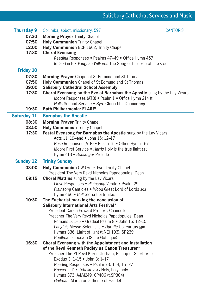| <b>Thursday 9</b>  | Columba, abbot, missionary, 597                                           | <b>CANTORIS</b> |
|--------------------|---------------------------------------------------------------------------|-----------------|
| 07:30              | <b>Morning Prayer Trinity Chapel</b>                                      |                 |
| 07:50              | <b>Holy Communion Trinity Chapel</b>                                      |                 |
| 12:00              | Holy Communion BCP 1662, Trinity Chapel                                   |                 |
| 17:30              | <b>Choral Evensong</b>                                                    |                 |
|                    | Reading Responses . Psalms 47-49 . Office Hymn 457                        |                 |
|                    | Ireland in F . Vaughan Williams The Song of the Tree of Life 539          |                 |
| <b>Friday 10</b>   |                                                                           |                 |
| 07:30              | <b>Morning Prayer</b> Chapel of St Edmund and St Thomas                   |                 |
| 07:50              | Holy Communion Chapel of St Edmund and St Thomas                          |                 |
| 09:00              | <b>Salisbury Cathedral School Assembly</b>                                |                 |
| 17:30              | Choral Evensong on the Eve of Barnabas the Apostle sung by the Lay Vicars |                 |
|                    | Moore Responses (ATB) . Psalm 1 . Office Hymn 214 (t.ii)                  |                 |
|                    | Halls Second Service . Byrd Gloria tibi, Domine 189                       |                 |
| 19:30              | <b>Bath Philharmonia: FLARE!</b>                                          |                 |
| <b>Saturday 11</b> | <b>Barnabas the Apostle</b>                                               |                 |
| 08:30              | <b>Morning Prayer</b> Trinity Chapel                                      |                 |
| 08:50              | <b>Holy Communion Trinity Chapel</b>                                      |                 |
| 17:30              | Festal Evensong for Barnabas the Apostle sung by the Lay Vicars           |                 |
|                    | Acts 11: 19-end . John 15: 12-17                                          |                 |
|                    | Rose Responses (ATB) · Psalm 15 · Office Hymn 167                         |                 |
|                    | Moore First Service . Harris Holy is the true light 226                   |                 |
|                    | Hymn 413 · Boulanger Prélude                                              |                 |
| <b>Sunday 12</b>   | <b>Trinity Sunday</b>                                                     |                 |
| 08:00              | <b>Holy Communion</b> CW Order Two, Trinity Chapel                        |                 |
|                    | President The Very Revd Nicholas Papadopulos, Dean                        |                 |
| 09:15              | <b>Choral Mattins</b> sung by the Lay Vicars                              |                 |
|                    | Lloyd Responses . Plainsong Venite . Psalm 29                             |                 |
|                    | Plainsong Canticles . Wood Great Lord of Lords 202                        |                 |
|                    | Hymn 466 · Bull Gloria tibi trinitas                                      |                 |
| 10:30              | The Eucharist marking the conclusion of                                   |                 |
|                    | <b>Salisbury International Arts Festival*</b>                             |                 |
|                    | President Canon Edward Probert, Chancellor                                |                 |
|                    | Preacher The Very Revd Nicholas Papadopulos, Dean                         |                 |
|                    | Romans 5: 1-5 • Gradual Psalm 8 • John 16: 12-15                          |                 |
|                    | Langlais Messe Solennelle · Duruflé Ubi caritas 598                       |                 |
|                    | Hymns 336, Light of light (t.NEH103), SP239                               |                 |
|                    | Boëllmann Toccata (Suite Gothique)                                        |                 |
| 16:30              | Choral Evensong with the Appointment and Installation                     |                 |
|                    | of the Revd Kenneth Padley as Canon Treasurer*                            |                 |
|                    | Preacher The Rt Revd Karen Gorham, Bishop of Sherborne                    |                 |
|                    | Exodus 3: 1-15 • John 3: 1-17                                             |                 |
|                    |                                                                           |                 |
|                    | Reading Responses . Psalm 73: 1-4, 15-27                                  |                 |
|                    | Brewer in D · Tchaikovsky Holy, holy, holy                                |                 |
|                    | Hymns 373, A&M249, CP406 (t.SP304)<br>Guilmant March on a theme of Handel |                 |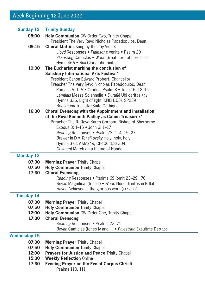# Week Beginning 12 June 2022

| <b>Sunday 12</b>    | <b>Trinity Sunday</b>                                                                                 |
|---------------------|-------------------------------------------------------------------------------------------------------|
| 08:00               | Holy Communion CW Order Two, Trinity Chapel                                                           |
|                     | President The Very Revd Nicholas Papadopulos, Dean                                                    |
| 09:15               | <b>Choral Mattins</b> sung by the Lay Vicars                                                          |
|                     | Lloyd Responses . Plainsong Venite . Psalm 29                                                         |
|                     | Plainsong Canticles . Wood Great Lord of Lords 202                                                    |
|                     | Hymn 466 · Bull Gloria tibi trinitas                                                                  |
| 10:30               | The Eucharist marking the conclusion of                                                               |
|                     | Salisbury International Arts Festival*                                                                |
|                     | President Canon Edward Probert, Chancellor                                                            |
|                     | Preacher The Very Revd Nicholas Papadopulos, Dean<br>Romans 5: 1-5 . Gradual Psalm 8 . John 16: 12-15 |
|                     | Langlais Messe Solennelle · Duruflé Ubi caritas 598                                                   |
|                     | Hymns 336, Light of light (t.NEH103), SP239                                                           |
|                     | Boëllmann Toccata (Suite Gothique)                                                                    |
| 16:30               | Choral Evensong with the Appointment and Installation                                                 |
|                     | of the Revd Kenneth Padley as Canon Treasurer*                                                        |
|                     | Preacher The Rt Revd Karen Gorham, Bishop of Sherborne                                                |
|                     | Exodus 3: 1-15 • John 3: 1-17                                                                         |
|                     | Reading Responses . Psalm 73: 1-4, 15-27                                                              |
|                     | Brewer in D · Tchaikovsky Holy, holy, holy                                                            |
|                     | Hymns 373, A&M249, CP406 (t.SP304)                                                                    |
|                     | Guilmant March on a theme of Handel                                                                   |
| <b>Monday 13</b>    |                                                                                                       |
| 07:30               | <b>Morning Prayer Trinity Chapel</b>                                                                  |
| 07:50               | <b>Holy Communion Trinity Chapel</b>                                                                  |
| 17:30               | <b>Choral Evensong</b>                                                                                |
|                     | Reading Responses . Psalms 69 (omit 23-29), 70                                                        |
|                     | Bevan Magnificat (tone ii) . Wood Nunc dimittis in B flat                                             |
|                     | Haydn Achieved is the glorious work (ii) 120 (2)                                                      |
| <b>Tuesday 14</b>   |                                                                                                       |
| 07:30               | <b>Morning Prayer Trinity Chapel</b>                                                                  |
| 07:50               | <b>Holy Communion Trinity Chapel</b>                                                                  |
| 12:00               | Holy Communion CW Order One, Trinity Chapel                                                           |
| 17:30               | <b>Choral Evensong</b><br>Reading Responses . Psalms 73-74                                            |
|                     | Bevan Canticles (tones iv and iii) • Palestrina Exsultate Deo 160                                     |
|                     |                                                                                                       |
| <b>Wednesday 15</b> |                                                                                                       |
| 07:30               | <b>Morning Prayer Trinity Chapel</b>                                                                  |
| 07:50<br>12:00      | <b>Holy Communion Trinity Chapel</b><br>Prayers for Justice and Peace Trinity Chapel                  |
| 15:30               | <b>Weekly Reflection Online</b>                                                                       |
| 17:30               | <b>Evening Prayer on the Eve of Corpus Christi</b>                                                    |
|                     | Psalms 110, 111                                                                                       |
|                     |                                                                                                       |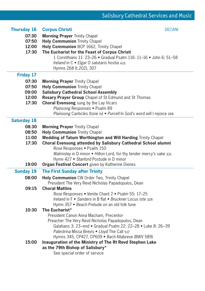| Thursday 16        | <b>Corpus Christi</b><br><b>DECANI</b>                                   |  |
|--------------------|--------------------------------------------------------------------------|--|
| 07:30              | <b>Morning Prayer Trinity Chapel</b>                                     |  |
| 07:50              | <b>Holy Communion Trinity Chapel</b>                                     |  |
| 12:00              | Holy Communion BCP 1662, Trinity Chapel                                  |  |
| 17:30              | The Eucharist for the Feast of Corpus Christi                            |  |
|                    | 1 Corinthians 11: 23-26 · Gradual Psalm 116: 11-16 · John 6: 51-58       |  |
|                    | Ireland in C · Elgar O salutaris hostia 415                              |  |
|                    | Hymns 268 (t.202), 307                                                   |  |
| Friday 17          |                                                                          |  |
| 07:30              | <b>Morning Prayer Trinity Chapel</b>                                     |  |
| 07:50              | <b>Holy Communion Trinity Chapel</b>                                     |  |
| 09:00              | <b>Salisbury Cathedral School Assembly</b>                               |  |
| 12:00              | Rosary Prayer Group Chapel of St Edmund and St Thomas                    |  |
| 17:30              | <b>Choral Evensong</b> sung by the Lay Vicars                            |  |
|                    | Plainsong Responses . Psalm 89                                           |  |
|                    | Plainsong Canticles (tone iv) . Purcell In God's word will I rejoice 266 |  |
|                    |                                                                          |  |
| <b>Saturday 18</b> |                                                                          |  |
| 08:30              | <b>Morning Prayer Trinity Chapel</b>                                     |  |
| 08:50              | <b>Holy Communion Trinity Chapel</b>                                     |  |
| 11:00              | Wedding of Tatum Worthington and Will Harding Trinity Chapel             |  |
| 17:30              | Choral Evensong attended by Salisbury Cathedral School alumni            |  |
|                    | Rose Responses . Psalm 150                                               |  |
|                    | Walmisley in D minor . Hilton Lord, for thy tender mercy's sake 331      |  |
|                    | Hymn 427 • Stanford Postude in D minor                                   |  |
| 19:00              | Organ Festival Concert given by Katherine Dienes                         |  |
| <b>Sunday 19</b>   | <b>The First Sunday after Trinity</b>                                    |  |
| 08:00              | Holy Communion CW Order Two, Trinity Chapel                              |  |
|                    | President The Very Revd Nicholas Papadopulos, Dean                       |  |
| 09:15              | <b>Choral Mattins</b>                                                    |  |
|                    | Rose Responses . Venite Chant 2 . Psalm 55: 17-25                        |  |
|                    | Ireland in F • Sanders in B flat • Bruckner Locus iste 326               |  |
|                    | Hymn 357 • Beach Prelude on an old folk tune                             |  |
| 10:30              | The Eucharist*                                                           |  |
|                    | President Canon Anna Macham, Precentor                                   |  |
|                    | Preacher The Very Revd Nicholas Papadopulos, Dean                        |  |
|                    | Galatians 3: 23-end · Gradual Psalm 22: 22-28 · Luke 8: 26-39            |  |
|                    | Palestrina Missa Brevis . Lloyd The Call 517                             |  |
|                    | Hymns 345, CP427, CP609 · Bach Allabreve (BWV 589)                       |  |
| 15:00              | Inauguration of the Ministry of The Rt Revd Stephen Lake                 |  |
|                    | as the 79th Bishop of Salisbury*                                         |  |
|                    | See special order of service                                             |  |
|                    |                                                                          |  |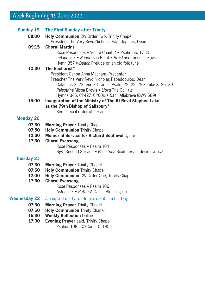# Week Beginning 19 June 2022

| <b>Sunday 19</b><br>08:00 | <b>The First Sunday after Trinity</b><br>Holy Communion CW Order Two, Trinity Chapel<br>President The Very Revd Nicholas Papadopulos, Dean                                                                                                                                           |
|---------------------------|--------------------------------------------------------------------------------------------------------------------------------------------------------------------------------------------------------------------------------------------------------------------------------------|
| 09:15                     | <b>Choral Mattins</b><br>Rose Responses • Venite Chant 2 • Psalm 55: 17-25<br>Ireland in F • Sanders in B flat • Bruckner Locus iste 326<br>Hymn 357 • Beach Prelude on an old folk tune                                                                                             |
| 10:30                     | The Eucharist*<br>President Canon Anna Macham, Precentor<br>Preacher The Very Revd Nicholas Papadopulos, Dean<br>Galatians 3: 23-end • Gradual Psalm 22: 22-28 • Luke 8: 26-39<br>Palestrina Missa Brevis . Lloyd The Call 517<br>Hymns 345, CP427, CP609 · Bach Allabreve (BWV 589) |
| 15:00                     | Inauguration of the Ministry of The Rt Revd Stephen Lake<br>as the 79th Bishop of Salisbury*<br>See special order of service                                                                                                                                                         |
| <b>Monday 20</b>          |                                                                                                                                                                                                                                                                                      |
| 07:30                     | <b>Morning Prayer Trinity Chapel</b>                                                                                                                                                                                                                                                 |
| 07:50                     | <b>Holy Communion Trinity Chapel</b>                                                                                                                                                                                                                                                 |
| 12:30                     | Memorial Service for Richard Southwell Quire                                                                                                                                                                                                                                         |
| 17:30                     | <b>Choral Evensong</b>                                                                                                                                                                                                                                                               |
|                           | Rose Responses . Psalm 104<br>Byrd Second Service . Palestrina Sicut cervus desiderat 478                                                                                                                                                                                            |
| <b>Tuesday 21</b>         |                                                                                                                                                                                                                                                                                      |
| 07:30                     | <b>Morning Prayer Trinity Chapel</b>                                                                                                                                                                                                                                                 |
| 07:50                     | <b>Holy Communion Trinity Chapel</b>                                                                                                                                                                                                                                                 |
| 12:00                     | Holy Communion CW Order One, Trinity Chapel                                                                                                                                                                                                                                          |
| 17:30                     | <b>Choral Evensong</b>                                                                                                                                                                                                                                                               |
|                           | Rose Responses . Psalm 106                                                                                                                                                                                                                                                           |
|                           | Aston in F . Rutter A Gaelic Blessing 181                                                                                                                                                                                                                                            |
| <b>Wednesday 22</b>       | Alban, first martyr of Britain, c.250; Ember Day                                                                                                                                                                                                                                     |
| 07:30                     | <b>Morning Prayer Trinity Chapel</b>                                                                                                                                                                                                                                                 |
| 07:50                     | <b>Holy Communion Trinity Chapel</b>                                                                                                                                                                                                                                                 |
| 15:30                     | <b>Weekly Reflection Online</b>                                                                                                                                                                                                                                                      |
| 17:30                     | <b>Evening Prayer</b> said, Trinity Chapel<br>Psalms 108, 109 (omit 5-19)                                                                                                                                                                                                            |
|                           |                                                                                                                                                                                                                                                                                      |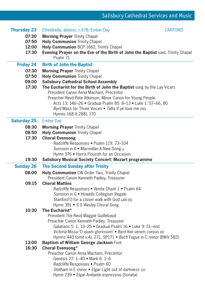| <b>Thursday 23</b> | Etheldreda, abbess, c.678; Ember Day                                                                                      | <b>CANTORIS</b> |
|--------------------|---------------------------------------------------------------------------------------------------------------------------|-----------------|
| 07:30<br>07:50     | <b>Morning Prayer Trinity Chapel</b><br><b>Holy Communion Trinity Chapel</b>                                              |                 |
| 12:00              | Holy Communion BCP 1662, Trinity Chapel                                                                                   |                 |
| 17:30              | Evening Prayer on the Eve of the Birth of John the Baptist said, Trinity Chapel                                           |                 |
|                    | Psalm 71                                                                                                                  |                 |
| <b>Friday 24</b>   | <b>Birth of John the Baptist</b>                                                                                          |                 |
| 07:30              | <b>Morning Prayer Trinity Chapel</b>                                                                                      |                 |
| 07:50              | <b>Holy Communion Trinity Chapel</b>                                                                                      |                 |
| 09:00              | <b>Salisbury Cathedral School Assembly</b>                                                                                |                 |
| 17:30              | The Eucharist for the Birth of John the Baptist sung by the Lay Vicars<br>President Canon Anna Macham, Precentor          |                 |
|                    | Preacher Revd Pete Atkinson, Minor Canon for Young People                                                                 |                 |
|                    | Acts 13: 14b–26 • Gradual Psalm 85: 8–13 • Luke 1: 57–66, 80                                                              |                 |
|                    | Byrd Mass for Three Voices . Tallis If ye love me 263                                                                     |                 |
|                    | Hymns 168 (t.288), 170                                                                                                    |                 |
| <b>Saturday 25</b> | <b>Ember Day</b>                                                                                                          |                 |
| 08:30              | <b>Morning Prayer Trinity Chapel</b>                                                                                      |                 |
| 08:50              | <b>Holy Communion Trinity Chapel</b>                                                                                      |                 |
| 17:30              | <b>Choral Evensong</b>                                                                                                    |                 |
|                    | Radcliffe Responses . Psalm 119: 73-104                                                                                   |                 |
|                    | Sumsion in A . Macmillan A New Song 4                                                                                     |                 |
| 19:30              | Hymn 376 • Harris Flourish for an Occasion<br><b>Salisbury Musical Society Concert: Mozart programme</b>                  |                 |
| <b>Sunday 26</b>   | <b>The Second Sunday after Trinity</b>                                                                                    |                 |
|                    |                                                                                                                           |                 |
| 08:00              | Holy Communion CW Order Two, Trinity Chapel<br>President Canon Kenneth Padley, Treasurer                                  |                 |
| 09:15              | <b>Choral Mattins</b>                                                                                                     |                 |
|                    | Radcliffe Responses . Venite Chant 1 . Psalm 64                                                                           |                 |
|                    | Sumsion in G · Howells Collegium Regale                                                                                   |                 |
|                    | Stanford O for a closer walk with God 486 (6)                                                                             |                 |
|                    | Hymn 391 • S S Wesley Choral Song                                                                                         |                 |
| 10:30              | The Eucharist*                                                                                                            |                 |
|                    | President The Revd Maggie Guillebaud                                                                                      |                 |
|                    | Preacher Canon Kenneth Padley, Treasurer                                                                                  |                 |
|                    | Galatians 5: 1, 13-25 · Gradual Psalm 16 · Luke 9: 51-end<br>Victoria Missa 'O quam gloriosum' . Byrd Ave verum corpus 62 |                 |
|                    | Hymns 440 (omit v.4), 271, SP171 • Bach Fugue in C minor (BWV 582)                                                        |                 |
| 13:00              | Baptism of William George Jackson Font                                                                                    |                 |
| 16:30              | <b>Choral Evensong*</b>                                                                                                   |                 |
|                    | Preacher Canon Anna Macham, Precentor                                                                                     |                 |
|                    |                                                                                                                           |                 |
|                    | Genesis 27: 1-40 • Mark 6: 1-6                                                                                            |                 |
|                    | Radcliffe Responses • Psalm 60                                                                                            |                 |
|                    | Statham in E minor . Elgar Light out of darkness 317<br>Hymn 239 · Elgar Andante espressivo (Sonata)                      |                 |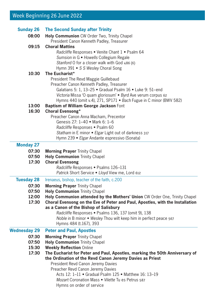# Week Beginning 26 June 2022

| <b>Sunday 26</b>                 | <b>The Second Sunday after Trinity</b>                                                                                                                                                                                                                                                                                                                                                                                                                                           |
|----------------------------------|----------------------------------------------------------------------------------------------------------------------------------------------------------------------------------------------------------------------------------------------------------------------------------------------------------------------------------------------------------------------------------------------------------------------------------------------------------------------------------|
| 08:00                            | Holy Communion CW Order Two, Trinity Chapel<br>President Canon Kenneth Padley, Treasurer                                                                                                                                                                                                                                                                                                                                                                                         |
| 09:15                            | <b>Choral Mattins</b><br>Radcliffe Responses . Venite Chant 1 . Psalm 64<br>Sumsion in G • Howells Collegium Regale<br>Stanford O for a closer walk with God 486 (6)<br>Hymn 391 • S S Wesley Choral Song                                                                                                                                                                                                                                                                        |
| 10:30                            | The Eucharist*<br>President The Revd Maggie Guillebaud<br>Preacher Canon Kenneth Padley, Treasurer<br>Galatians 5: 1, 13-25 · Gradual Psalm 16 · Luke 9: 51-end<br>Victoria Missa 'O quam gloriosum' . Byrd Ave verum corpus 62<br>Hymns 440 (omit v.4), 271, SP171 • Bach Fugue in C minor (BWV 582)                                                                                                                                                                            |
| 13:00<br>16:30                   | Baptism of William George Jackson Font<br><b>Choral Evensong*</b>                                                                                                                                                                                                                                                                                                                                                                                                                |
|                                  | Preacher Canon Anna Macham, Precentor<br>Genesis 27: 1-40 • Mark 6: 1-6<br>Radcliffe Responses . Psalm 60<br>Statham in E minor . Elgar Light out of darkness 317<br>Hymn 239 · Elgar Andante espressivo (Sonata)                                                                                                                                                                                                                                                                |
| <b>Monday 27</b>                 |                                                                                                                                                                                                                                                                                                                                                                                                                                                                                  |
| 07:30<br>07:50<br>17:30          | <b>Morning Prayer Trinity Chapel</b><br><b>Holy Communion Trinity Chapel</b><br><b>Choral Evensong</b><br>Radcliffe Responses . Psalms 126-131<br>Patrick Short Service • Lloyd View me, Lord 612                                                                                                                                                                                                                                                                                |
| <b>Tuesday 28</b>                | Irenaeus, bishop, teacher of the faith, c.200                                                                                                                                                                                                                                                                                                                                                                                                                                    |
| 07:30<br>07:50<br>12:00<br>17:30 | <b>Morning Prayer Trinity Chapel</b><br><b>Holy Communion Trinity Chapel</b><br>Holy Communion attended by the Mothers' Union CW Order One, Trinity Chapel<br>Choral Evensong on the Eve of Peter and Paul, Apostles, with the Installation<br>as a Canon of the Bishop of Salisbury<br>Radcliffe Responses . Psalms 136, 137 (omit 9), 138<br>Noble in B minor • Wesley Thou wilt keep him in perfect peace 567<br>Hymns 484 (t.167), 393                                       |
| <b>Wednesday 29</b>              | <b>Peter and Paul, Apostles</b>                                                                                                                                                                                                                                                                                                                                                                                                                                                  |
| 07:30<br>07:50<br>15:30<br>17:30 | <b>Morning Prayer Trinity Chapel</b><br><b>Holy Communion Trinity Chapel</b><br><b>Weekly Reflection Online</b><br>The Eucharist for Peter and Paul, Apostles, marking the 50th Anniversary of<br>the Ordination of the Revd Canon Jeremy Davies as Priest<br>President Revd Canon Jeremy Davies<br>Preacher Revd Canon Jeremy Davies<br>Acts 12: 1-11 . Gradual Psalm 125 . Matthew 16: 13-19<br>Mozart Coronation Mass . Vilette Tu es Petrus 587<br>Hymns on order of service |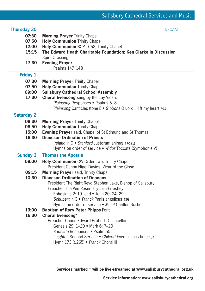### **Thursday 30** DECANI

- **07:30 Morning Praver** Trinity Chapel
- **07:50 Holy Communion** Trinity Chapel
- **12:00 Holy Communion** BCP 1662, Trinity Chapel
- **15:15 The Edward Heath Charitable Foundation: Ken Clarke in Discussion** Spire Crossing
- **17:30 Evening Prayer**

## Psalms 147, 148

## **Friday 1**

- **07:30 Morning Prayer** Trinity Chapel
- **07:50 Holy Communion** Trinity Chapel
- **09:00 Salisbury Cathedral School Assembly**
- **17:30 Choral Evensong** sung by the Lay Vicars *Plainsong* Responses • Psalms 6–8 *Plainsong* Canticles (tone i) • *Gibbons* O Lord, I lift my heart 394

#### **Saturday 2**

- **08:30 Morning Prayer Trinity Chapel**
- **08:50 Holy Communion** Trinity Chapel
- **15:00 Evening Prayer** said, Chapel of St Edmund and St Thomas
- **16:30 Diocesan Ordination of Priests** *Ireland* in C • *Stanford* Justorum animæ 570 (1) Hymns on order of service • *Widor* Toccata (Symphonie V)

## **Sunday 3 Thomas the Apostle**

- **08:00 Holy Communion** CW Order Two, Trinity Chapel President Canon Nigel Davies, Vicar of the Close
- **09:15 Morning Prayer** said, Trinity Chapel
- **10:30 Diocesan Ordination of Deacons**

 President The Right Revd Stephen Lake, Bishop of Salisbury Preacher The Ven Rosemary Lain-Priestley

Ephesians 2: 19–end • John 20: 24–29

*Schubert* in G • *Franck* Panis angelicus 435

Hymns on order of service • *Mulet* Carillon Sortie

**13:00 Baptism of Rory Peter Phipps** Font

## **16:30 Choral Evensong\***

 Preacher Canon Edward Probert, Chancellor Genesis 29: 1–20 • Mark 6: 7–29 *Radcliffe* Responses **•** Psalm 65 *Leighton* Second Service • *Chilcott* Even such is time 154 Hymn 173 (t.265) • *Franck* Choral III